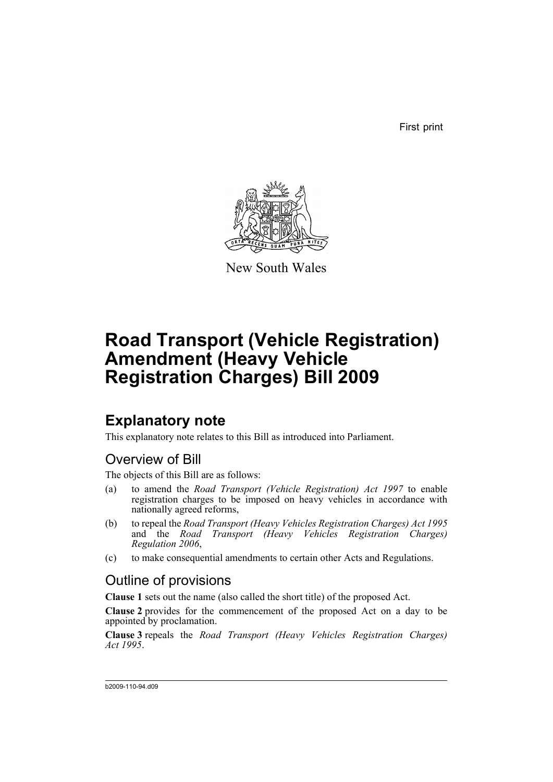First print



New South Wales

# **Road Transport (Vehicle Registration) Amendment (Heavy Vehicle Registration Charges) Bill 2009**

## **Explanatory note**

This explanatory note relates to this Bill as introduced into Parliament.

## Overview of Bill

The objects of this Bill are as follows:

- (a) to amend the *Road Transport (Vehicle Registration) Act 1997* to enable registration charges to be imposed on heavy vehicles in accordance with nationally agreed reforms,
- (b) to repeal the *Road Transport (Heavy Vehicles Registration Charges) Act 1995* and the *Road Transport (Heavy Vehicles Registration Charges) Regulation 2006*,
- (c) to make consequential amendments to certain other Acts and Regulations.

## Outline of provisions

**Clause 1** sets out the name (also called the short title) of the proposed Act.

**Clause 2** provides for the commencement of the proposed Act on a day to be appointed by proclamation.

**Clause 3** repeals the *Road Transport (Heavy Vehicles Registration Charges) Act 1995*.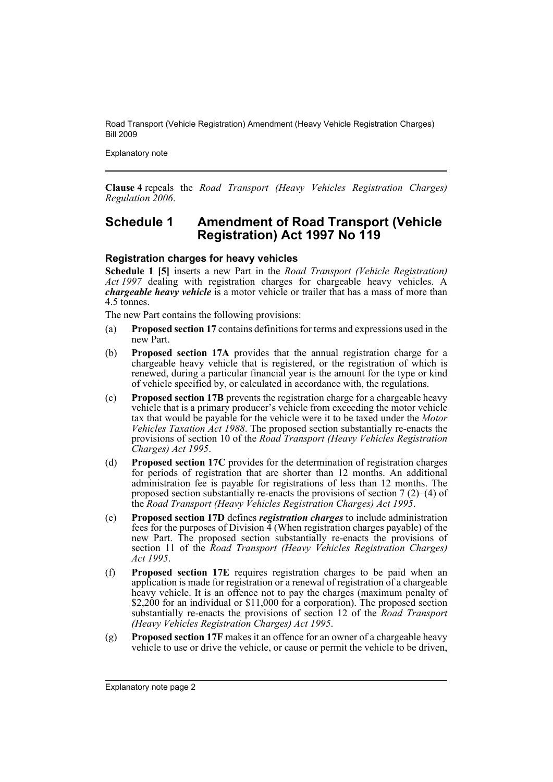Explanatory note

**Clause 4** repeals the *Road Transport (Heavy Vehicles Registration Charges) Regulation 2006*.

## **Schedule 1 Amendment of Road Transport (Vehicle Registration) Act 1997 No 119**

#### **Registration charges for heavy vehicles**

**Schedule 1 [5]** inserts a new Part in the *Road Transport (Vehicle Registration) Act 1997* dealing with registration charges for chargeable heavy vehicles. A *chargeable heavy vehicle* is a motor vehicle or trailer that has a mass of more than 4.5 tonnes.

The new Part contains the following provisions:

- (a) **Proposed section 17** contains definitions for terms and expressions used in the new Part.
- (b) **Proposed section 17A** provides that the annual registration charge for a chargeable heavy vehicle that is registered, or the registration of which is renewed, during a particular financial year is the amount for the type or kind of vehicle specified by, or calculated in accordance with, the regulations.
- (c) **Proposed section 17B** prevents the registration charge for a chargeable heavy vehicle that is a primary producer's vehicle from exceeding the motor vehicle tax that would be payable for the vehicle were it to be taxed under the *Motor Vehicles Taxation Act 1988*. The proposed section substantially re-enacts the provisions of section 10 of the *Road Transport (Heavy Vehicles Registration Charges) Act 1995*.
- (d) **Proposed section 17C** provides for the determination of registration charges for periods of registration that are shorter than 12 months. An additional administration fee is payable for registrations of less than 12 months. The proposed section substantially re-enacts the provisions of section  $7(2)$ –(4) of the *Road Transport (Heavy Vehicles Registration Charges) Act 1995*.
- (e) **Proposed section 17D** defines *registration charges* to include administration fees for the purposes of Division 4 (When registration charges payable) of the new Part. The proposed section substantially re-enacts the provisions of section 11 of the *Road Transport (Heavy Vehicles Registration Charges) Act 1995*.
- (f) **Proposed section 17E** requires registration charges to be paid when an application is made for registration or a renewal of registration of a chargeable heavy vehicle. It is an offence not to pay the charges (maximum penalty of \$2,200 for an individual or \$11,000 for a corporation). The proposed section substantially re-enacts the provisions of section 12 of the *Road Transport (Heavy Vehicles Registration Charges) Act 1995*.
- (g) **Proposed section 17F** makes it an offence for an owner of a chargeable heavy vehicle to use or drive the vehicle, or cause or permit the vehicle to be driven,

Explanatory note page 2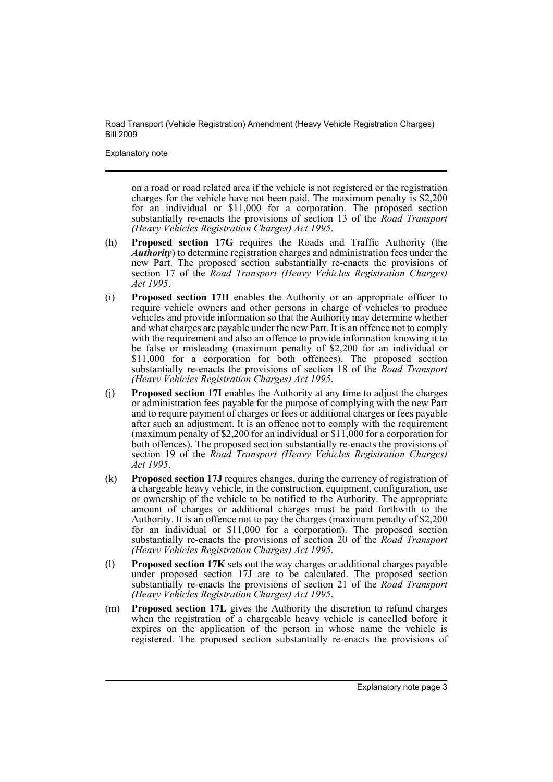Explanatory note

on a road or road related area if the vehicle is not registered or the registration charges for the vehicle have not been paid. The maximum penalty is \$2,200 for an individual or \$11,000 for a corporation. The proposed section substantially re-enacts the provisions of section 13 of the *Road Transport (Heavy Vehicles Registration Charges) Act 1995*.

- (h) **Proposed section 17G** requires the Roads and Traffic Authority (the *Authority*) to determine registration charges and administration fees under the new Part. The proposed section substantially re-enacts the provisions of section 17 of the *Road Transport (Heavy Vehicles Registration Charges) Act 1995*.
- (i) **Proposed section 17H** enables the Authority or an appropriate officer to require vehicle owners and other persons in charge of vehicles to produce vehicles and provide information so that the Authority may determine whether and what charges are payable under the new Part. It is an offence not to comply with the requirement and also an offence to provide information knowing it to be false or misleading (maximum penalty of \$2,200 for an individual or \$11,000 for a corporation for both offences). The proposed section substantially re-enacts the provisions of section 18 of the *Road Transport (Heavy Vehicles Registration Charges) Act 1995*.
- (j) **Proposed section 17I** enables the Authority at any time to adjust the charges or administration fees payable for the purpose of complying with the new Part and to require payment of charges or fees or additional charges or fees payable after such an adjustment. It is an offence not to comply with the requirement (maximum penalty of \$2,200 for an individual or \$11,000 for a corporation for both offences). The proposed section substantially re-enacts the provisions of section 19 of the *Road Transport (Heavy Vehicles Registration Charges) Act 1995*.
- (k) **Proposed section 17J** requires changes, during the currency of registration of a chargeable heavy vehicle, in the construction, equipment, configuration, use or ownership of the vehicle to be notified to the Authority. The appropriate amount of charges or additional charges must be paid forthwith to the Authority. It is an offence not to pay the charges (maximum penalty of \$2,200 for an individual or \$11,000 for a corporation). The proposed section substantially re-enacts the provisions of section 20 of the *Road Transport (Heavy Vehicles Registration Charges) Act 1995*.
- (l) **Proposed section 17K** sets out the way charges or additional charges payable under proposed section 17J are to be calculated. The proposed section substantially re-enacts the provisions of section 21 of the *Road Transport (Heavy Vehicles Registration Charges) Act 1995*.
- (m) **Proposed section 17L** gives the Authority the discretion to refund charges when the registration of a chargeable heavy vehicle is cancelled before it expires on the application of the person in whose name the vehicle is registered. The proposed section substantially re-enacts the provisions of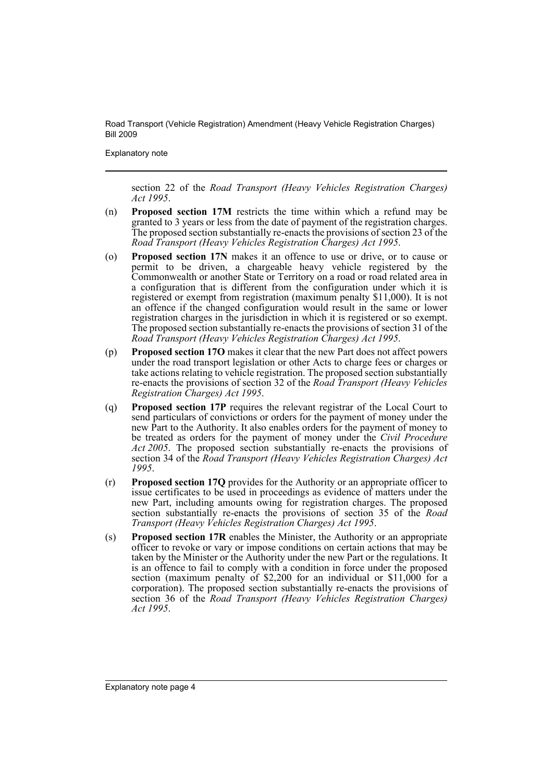Explanatory note

section 22 of the *Road Transport (Heavy Vehicles Registration Charges) Act 1995*.

- (n) **Proposed section 17M** restricts the time within which a refund may be granted to 3 years or less from the date of payment of the registration charges. The proposed section substantially re-enacts the provisions of section 23 of the *Road Transport (Heavy Vehicles Registration Charges) Act 1995*.
- (o) **Proposed section 17N** makes it an offence to use or drive, or to cause or permit to be driven, a chargeable heavy vehicle registered by the Commonwealth or another State or Territory on a road or road related area in a configuration that is different from the configuration under which it is registered or exempt from registration (maximum penalty \$11,000). It is not an offence if the changed configuration would result in the same or lower registration charges in the jurisdiction in which it is registered or so exempt. The proposed section substantially re-enacts the provisions of section 31 of the *Road Transport (Heavy Vehicles Registration Charges) Act 1995*.
- (p) **Proposed section 17O** makes it clear that the new Part does not affect powers under the road transport legislation or other Acts to charge fees or charges or take actions relating to vehicle registration. The proposed section substantially re-enacts the provisions of section 32 of the *Road Transport (Heavy Vehicles Registration Charges) Act 1995*.
- (q) **Proposed section 17P** requires the relevant registrar of the Local Court to send particulars of convictions or orders for the payment of money under the new Part to the Authority. It also enables orders for the payment of money to be treated as orders for the payment of money under the *Civil Procedure Act 2005*. The proposed section substantially re-enacts the provisions of section 34 of the *Road Transport (Heavy Vehicles Registration Charges) Act 1995*.
- (r) **Proposed section 17Q** provides for the Authority or an appropriate officer to issue certificates to be used in proceedings as evidence of matters under the new Part, including amounts owing for registration charges. The proposed section substantially re-enacts the provisions of section 35 of the *Road Transport (Heavy Vehicles Registration Charges) Act 1995*.
- (s) **Proposed section 17R** enables the Minister, the Authority or an appropriate officer to revoke or vary or impose conditions on certain actions that may be taken by the Minister or the Authority under the new Part or the regulations. It is an offence to fail to comply with a condition in force under the proposed section (maximum penalty of \$2,200 for an individual or \$11,000 for a corporation). The proposed section substantially re-enacts the provisions of section 36 of the *Road Transport (Heavy Vehicles Registration Charges) Act 1995*.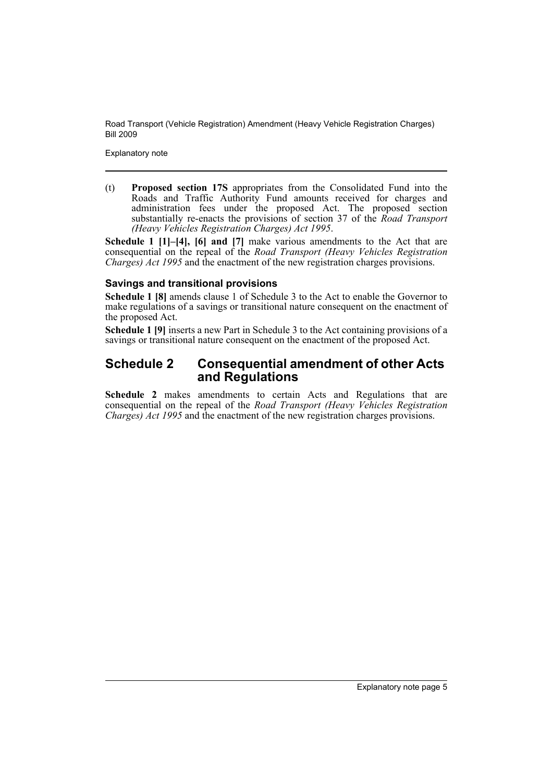Explanatory note

(t) **Proposed section 17S** appropriates from the Consolidated Fund into the Roads and Traffic Authority Fund amounts received for charges and administration fees under the proposed Act. The proposed section substantially re-enacts the provisions of section 37 of the *Road Transport (Heavy Vehicles Registration Charges) Act 1995*.

**Schedule 1 [1]–[4], [6] and [7]** make various amendments to the Act that are consequential on the repeal of the *Road Transport (Heavy Vehicles Registration Charges) Act 1995* and the enactment of the new registration charges provisions.

## **Savings and transitional provisions**

**Schedule 1 [8]** amends clause 1 of Schedule 3 to the Act to enable the Governor to make regulations of a savings or transitional nature consequent on the enactment of the proposed Act.

**Schedule 1 [9]** inserts a new Part in Schedule 3 to the Act containing provisions of a savings or transitional nature consequent on the enactment of the proposed Act.

## **Schedule 2 Consequential amendment of other Acts and Regulations**

**Schedule 2** makes amendments to certain Acts and Regulations that are consequential on the repeal of the *Road Transport (Heavy Vehicles Registration Charges) Act 1995* and the enactment of the new registration charges provisions.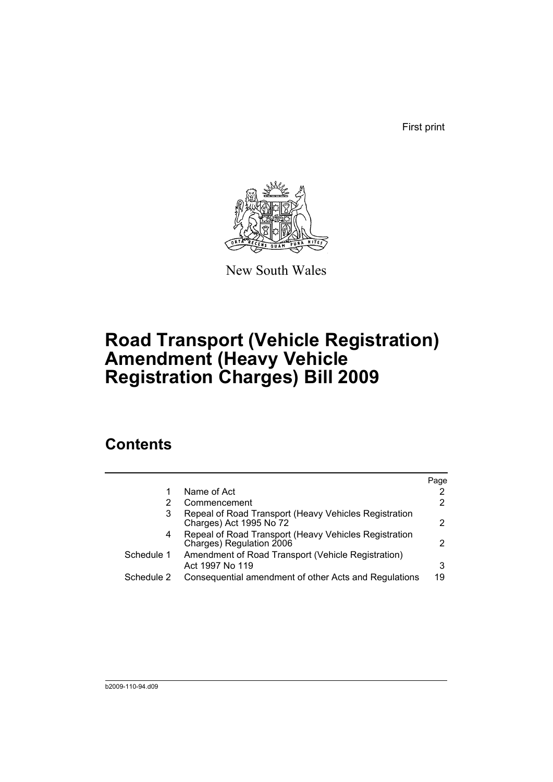First print



New South Wales

# **Road Transport (Vehicle Registration) Amendment (Heavy Vehicle Registration Charges) Bill 2009**

## **Contents**

|            |                                                                                   | Page                  |
|------------|-----------------------------------------------------------------------------------|-----------------------|
|            | Name of Act                                                                       | 2                     |
|            | Commencement                                                                      | $\mathbf{2}^{\prime}$ |
| 3          | Repeal of Road Transport (Heavy Vehicles Registration<br>Charges) Act 1995 No 72  | 2                     |
| 4          | Repeal of Road Transport (Heavy Vehicles Registration<br>Charges) Regulation 2006 | $\mathcal{P}$         |
| Schedule 1 | Amendment of Road Transport (Vehicle Registration)<br>Act 1997 No 119             | 3                     |
| Schedule 2 | Consequential amendment of other Acts and Regulations                             | 19                    |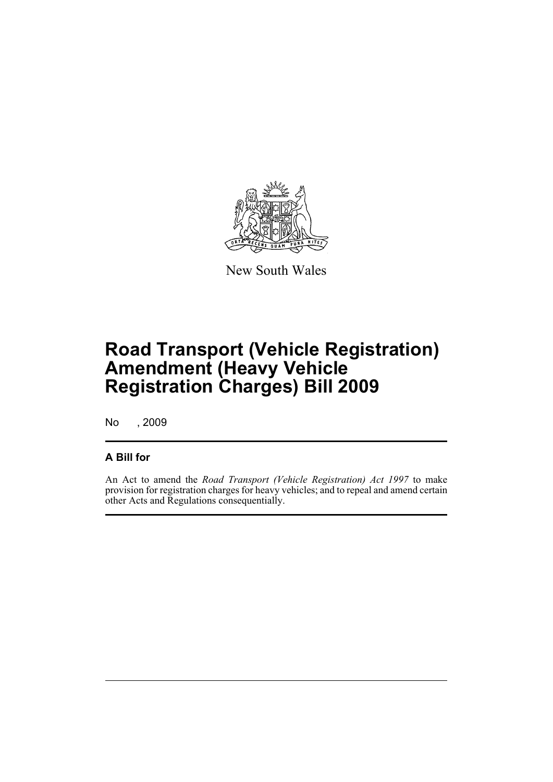

New South Wales

# **Road Transport (Vehicle Registration) Amendment (Heavy Vehicle Registration Charges) Bill 2009**

No , 2009

## **A Bill for**

An Act to amend the *Road Transport (Vehicle Registration) Act 1997* to make provision for registration charges for heavy vehicles; and to repeal and amend certain other Acts and Regulations consequentially.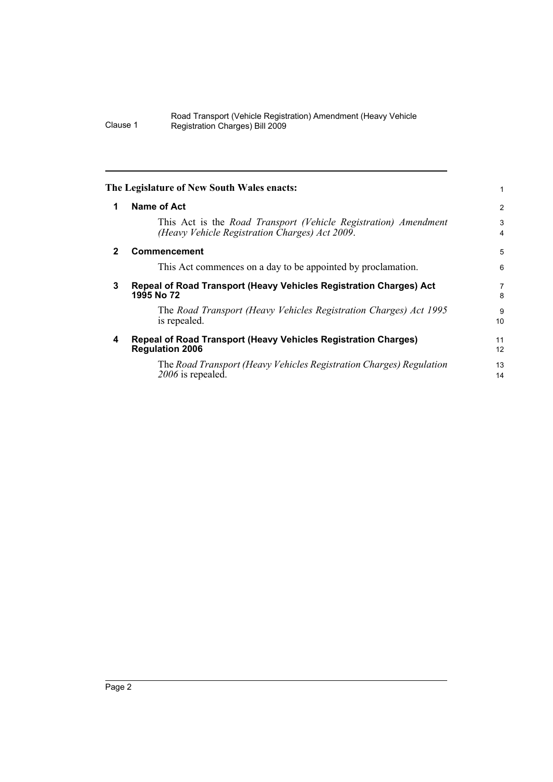<span id="page-9-3"></span><span id="page-9-2"></span><span id="page-9-1"></span><span id="page-9-0"></span>

| The Legislature of New South Wales enacts:                                                                        | 1              |
|-------------------------------------------------------------------------------------------------------------------|----------------|
| <b>Name of Act</b>                                                                                                | $\overline{c}$ |
| This Act is the Road Transport (Vehicle Registration) Amendment<br>(Heavy Vehicle Registration Charges) Act 2009. | 3<br>4         |
| <b>Commencement</b>                                                                                               | 5              |
| This Act commences on a day to be appointed by proclamation.                                                      | 6              |
| Repeal of Road Transport (Heavy Vehicles Registration Charges) Act<br>1995 No 72                                  | 7<br>8         |
| The Road Transport (Heavy Vehicles Registration Charges) Act 1995<br>is repealed.                                 | 9<br>10        |
| <b>Repeal of Road Transport (Heavy Vehicles Registration Charges)</b><br><b>Regulation 2006</b>                   | 11<br>12       |
| The Road Transport (Heavy Vehicles Registration Charges) Regulation<br>2006 is repealed.                          | 13<br>14       |
|                                                                                                                   |                |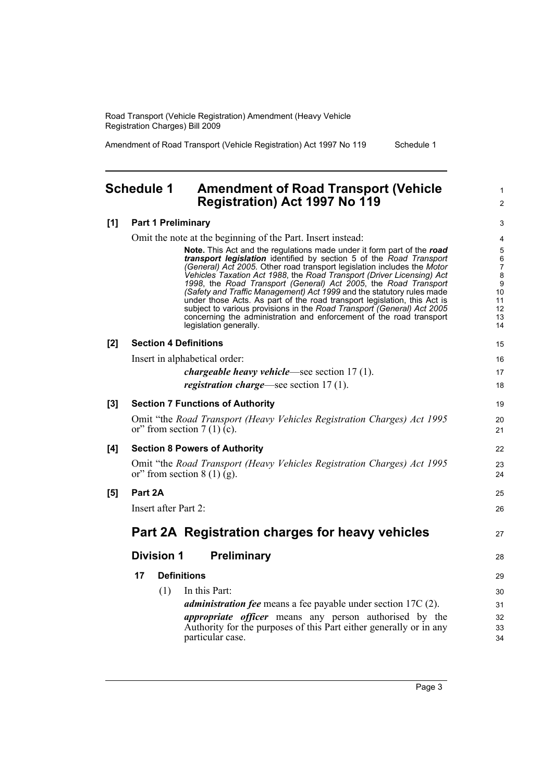Amendment of Road Transport (Vehicle Registration) Act 1997 No 119 Schedule 1

1  $\mathfrak{p}$ 

19  $20$ 21

22 23 24

25 26

27

28

## <span id="page-10-0"></span>**Schedule 1 Amendment of Road Transport (Vehicle Registration) Act 1997 No 119**

#### **[1] Part 1 Preliminary**

Omit the note at the beginning of the Part. Insert instead:

**Note.** This Act and the regulations made under it form part of the *road transport legislation* identified by section 5 of the *Road Transport (General) Act 2005*. Other road transport legislation includes the *Motor Vehicles Taxation Act 1988*, the *Road Transport (Driver Licensing) Act 1998*, the *Road Transport (General) Act 2005*, the *Road Transport (Safety and Traffic Management) Act 1999* and the statutory rules made under those Acts. As part of the road transport legislation, this Act is subject to various provisions in the *Road Transport (General) Act 2005* concerning the administration and enforcement of the road transport legislation generally.

#### **[2] Section 4 Definitions**

Insert in alphabetical order:

| <i>chargeable heavy vehicle</i> —see section 17 (1). |  |  |  |  |
|------------------------------------------------------|--|--|--|--|
|------------------------------------------------------|--|--|--|--|

| <i>registration charge</i> —see section 17 (1). |  |
|-------------------------------------------------|--|
|-------------------------------------------------|--|

| [3] | <b>Section 7 Functions of Authority</b>                                                                 |
|-----|---------------------------------------------------------------------------------------------------------|
|     | Omit "the Road Transport (Heavy Vehicles Registration Charges) Act 1995<br>or" from section $7(1)$ (c). |

#### **[4] Section 8 Powers of Authority**

Omit "the *Road Transport (Heavy Vehicles Registration Charges) Act 1995* or" from section  $8(1)(g)$ .

#### **[5] Part 2A**

Insert after Part 2:

**Part 2A Registration charges for heavy vehicles**

## **Division 1 Preliminary**

## **17 Definitions**

(1) In this Part: *administration fee* means a fee payable under section 17C (2). *appropriate officer* means any person authorised by the Authority for the purposes of this Part either generally or in any particular case.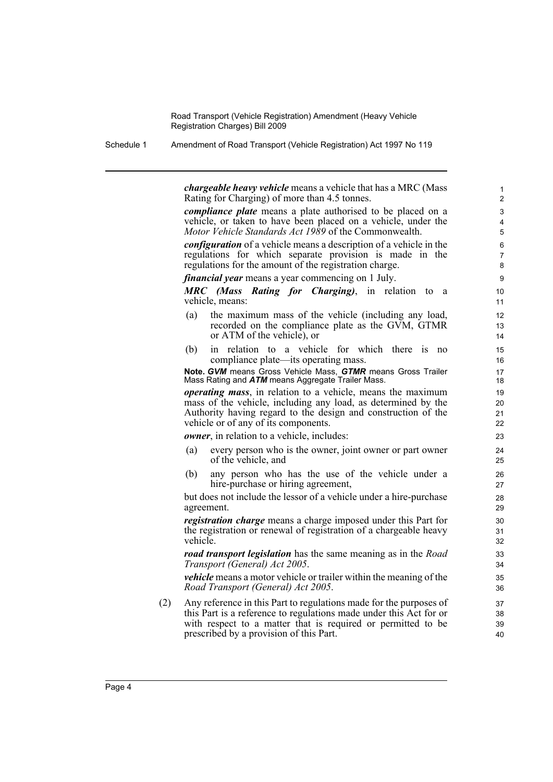Schedule 1 Amendment of Road Transport (Vehicle Registration) Act 1997 No 119

*chargeable heavy vehicle* means a vehicle that has a MRC (Mass Rating for Charging) of more than 4.5 tonnes.

*compliance plate* means a plate authorised to be placed on a vehicle, or taken to have been placed on a vehicle, under the *Motor Vehicle Standards Act 1989* of the Commonwealth.

*configuration* of a vehicle means a description of a vehicle in the regulations for which separate provision is made in the regulations for the amount of the registration charge.

*financial year* means a year commencing on 1 July.

*MRC (Mass Rating for Charging)*, in relation to a vehicle, means:

- (a) the maximum mass of the vehicle (including any load, recorded on the compliance plate as the GVM, GTMR or ATM of the vehicle), or
- (b) in relation to a vehicle for which there is no compliance plate—its operating mass.

#### **Note.** *GVM* means Gross Vehicle Mass, *GTMR* means Gross Trailer Mass Rating and *ATM* means Aggregate Trailer Mass.

*operating mass*, in relation to a vehicle, means the maximum mass of the vehicle, including any load, as determined by the Authority having regard to the design and construction of the vehicle or of any of its components.

*owner*, in relation to a vehicle, includes:

- (a) every person who is the owner, joint owner or part owner of the vehicle, and
- (b) any person who has the use of the vehicle under a hire-purchase or hiring agreement,

but does not include the lessor of a vehicle under a hire-purchase agreement.

*registration charge* means a charge imposed under this Part for the registration or renewal of registration of a chargeable heavy vehicle.

*road transport legislation* has the same meaning as in the *Road Transport (General) Act 2005*.

*vehicle* means a motor vehicle or trailer within the meaning of the *Road Transport (General) Act 2005*.

(2) Any reference in this Part to regulations made for the purposes of this Part is a reference to regulations made under this Act for or with respect to a matter that is required or permitted to be prescribed by a provision of this Part.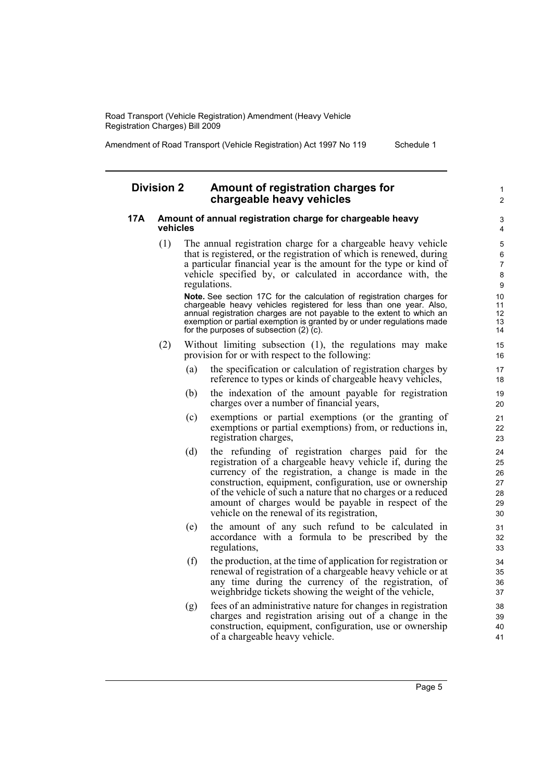Amendment of Road Transport (Vehicle Registration) Act 1997 No 119 Schedule 1

1  $\overline{2}$ 

### **Division 2 Amount of registration charges for chargeable heavy vehicles**

#### **17A Amount of annual registration charge for chargeable heavy vehicles**

(1) The annual registration charge for a chargeable heavy vehicle that is registered, or the registration of which is renewed, during a particular financial year is the amount for the type or kind of vehicle specified by, or calculated in accordance with, the regulations.

**Note.** See section 17C for the calculation of registration charges for chargeable heavy vehicles registered for less than one year. Also, annual registration charges are not payable to the extent to which an exemption or partial exemption is granted by or under regulations made for the purposes of subsection  $(2)$  (c).

- (2) Without limiting subsection (1), the regulations may make provision for or with respect to the following:
	- (a) the specification or calculation of registration charges by reference to types or kinds of chargeable heavy vehicles,
	- (b) the indexation of the amount payable for registration charges over a number of financial years,
	- (c) exemptions or partial exemptions (or the granting of exemptions or partial exemptions) from, or reductions in, registration charges,
	- (d) the refunding of registration charges paid for the registration of a chargeable heavy vehicle if, during the currency of the registration, a change is made in the construction, equipment, configuration, use or ownership of the vehicle of such a nature that no charges or a reduced amount of charges would be payable in respect of the vehicle on the renewal of its registration,
	- (e) the amount of any such refund to be calculated in accordance with a formula to be prescribed by the regulations,
	- (f) the production, at the time of application for registration or renewal of registration of a chargeable heavy vehicle or at any time during the currency of the registration, of weighbridge tickets showing the weight of the vehicle,
	- (g) fees of an administrative nature for changes in registration charges and registration arising out of a change in the construction, equipment, configuration, use or ownership of a chargeable heavy vehicle.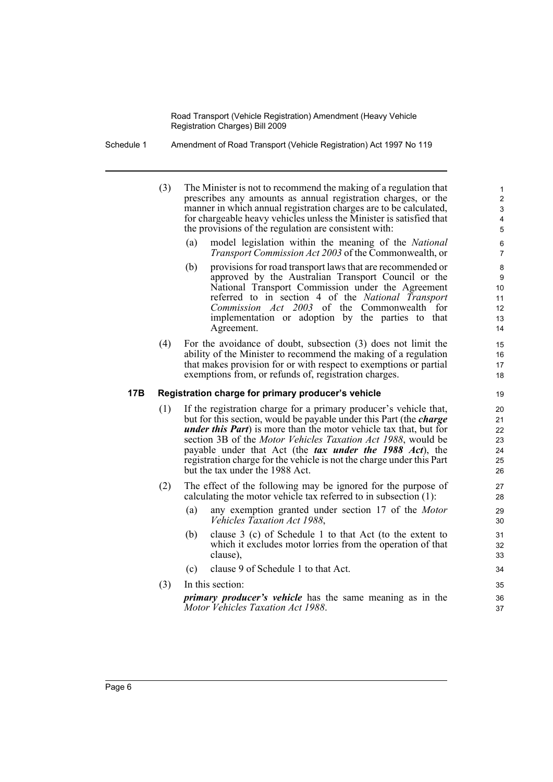Schedule 1 Amendment of Road Transport (Vehicle Registration) Act 1997 No 119

- (3) The Minister is not to recommend the making of a regulation that prescribes any amounts as annual registration charges, or the manner in which annual registration charges are to be calculated, for chargeable heavy vehicles unless the Minister is satisfied that the provisions of the regulation are consistent with:
	- (a) model legislation within the meaning of the *National Transport Commission Act 2003* of the Commonwealth, or

- (b) provisions for road transport laws that are recommended or approved by the Australian Transport Council or the National Transport Commission under the Agreement referred to in section 4 of the *National Transport Commission Act 2003* of the Commonwealth for implementation or adoption by the parties to that Agreement.
- (4) For the avoidance of doubt, subsection (3) does not limit the ability of the Minister to recommend the making of a regulation that makes provision for or with respect to exemptions or partial exemptions from, or refunds of, registration charges.

#### **17B Registration charge for primary producer's vehicle**

- (1) If the registration charge for a primary producer's vehicle that, but for this section, would be payable under this Part (the *charge under this Part*) is more than the motor vehicle tax that, but for section 3B of the *Motor Vehicles Taxation Act 1988*, would be payable under that Act (the *tax under the 1988 Act*), the registration charge for the vehicle is not the charge under this Part but the tax under the 1988 Act.
- (2) The effect of the following may be ignored for the purpose of calculating the motor vehicle tax referred to in subsection (1):
	- (a) any exemption granted under section 17 of the *Motor Vehicles Taxation Act 1988*,
	- (b) clause 3 (c) of Schedule 1 to that Act (to the extent to which it excludes motor lorries from the operation of that clause),
	- (c) clause 9 of Schedule 1 to that Act.
- (3) In this section:

*primary producer's vehicle* has the same meaning as in the *Motor Vehicles Taxation Act 1988*.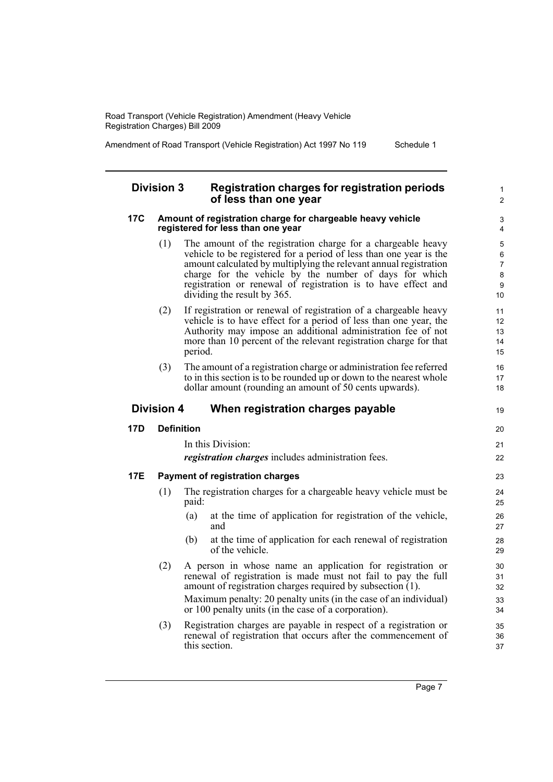Amendment of Road Transport (Vehicle Registration) Act 1997 No 119 Schedule 1

#### **Division 3 Registration charges for registration periods of less than one year**

#### **17C Amount of registration charge for chargeable heavy vehicle registered for less than one year**

- (1) The amount of the registration charge for a chargeable heavy vehicle to be registered for a period of less than one year is the amount calculated by multiplying the relevant annual registration charge for the vehicle by the number of days for which registration or renewal of registration is to have effect and dividing the result by 365.
- (2) If registration or renewal of registration of a chargeable heavy vehicle is to have effect for a period of less than one year, the Authority may impose an additional administration fee of not more than 10 percent of the relevant registration charge for that period.
- (3) The amount of a registration charge or administration fee referred to in this section is to be rounded up or down to the nearest whole dollar amount (rounding an amount of 50 cents upwards).

## **Division 4 When registration charges payable**

## **17D Definition**

## In this Division: *registration charges* includes administration fees. **17E Payment of registration charges** (1) The registration charges for a chargeable heavy vehicle must be paid: (a) at the time of application for registration of the vehicle, and

- (b) at the time of application for each renewal of registration of the vehicle.
- (2) A person in whose name an application for registration or renewal of registration is made must not fail to pay the full amount of registration charges required by subsection (1). Maximum penalty: 20 penalty units (in the case of an individual) or 100 penalty units (in the case of a corporation).
- (3) Registration charges are payable in respect of a registration or renewal of registration that occurs after the commencement of this section.

1  $\overline{2}$ 

19

20 21 22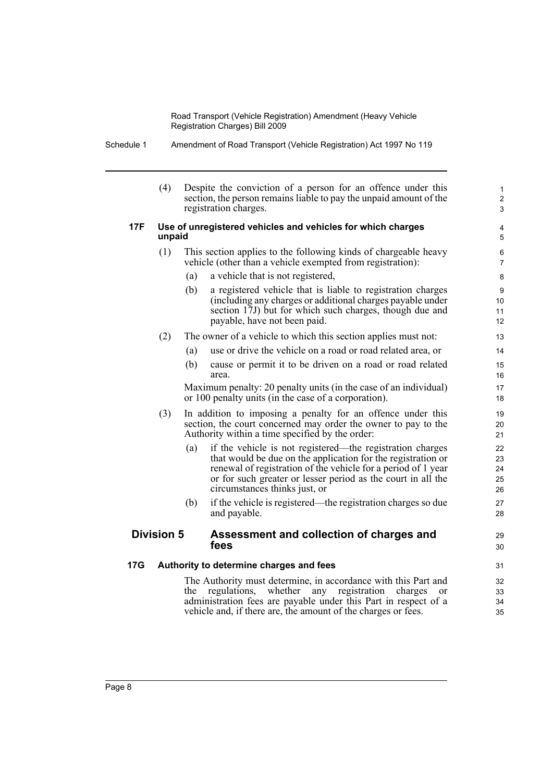Schedule 1 Amendment of Road Transport (Vehicle Registration) Act 1997 No 119

|     | (4)                                                                   | Despite the conviction of a person for an offence under this<br>section, the person remains liable to pay the unpaid amount of the<br>registration charges.                                                                                                                                        | 1<br>$\overline{\mathbf{c}}$<br>3 |  |  |
|-----|-----------------------------------------------------------------------|----------------------------------------------------------------------------------------------------------------------------------------------------------------------------------------------------------------------------------------------------------------------------------------------------|-----------------------------------|--|--|
| 17F | Use of unregistered vehicles and vehicles for which charges<br>unpaid |                                                                                                                                                                                                                                                                                                    |                                   |  |  |
|     | (1)                                                                   | This section applies to the following kinds of chargeable heavy<br>vehicle (other than a vehicle exempted from registration):                                                                                                                                                                      |                                   |  |  |
|     |                                                                       | a vehicle that is not registered,<br>(a)                                                                                                                                                                                                                                                           | 8                                 |  |  |
|     |                                                                       | a registered vehicle that is liable to registration charges<br>(b)<br>(including any charges or additional charges payable under<br>section 17J) but for which such charges, though due and<br>payable, have not been paid.                                                                        | 9<br>10<br>11<br>12               |  |  |
|     | (2)                                                                   | The owner of a vehicle to which this section applies must not:                                                                                                                                                                                                                                     | 13                                |  |  |
|     |                                                                       | use or drive the vehicle on a road or road related area, or<br>(a)                                                                                                                                                                                                                                 | 14                                |  |  |
|     |                                                                       | (b)<br>cause or permit it to be driven on a road or road related<br>area.                                                                                                                                                                                                                          | 15<br>16                          |  |  |
|     |                                                                       | Maximum penalty: 20 penalty units (in the case of an individual)<br>or 100 penalty units (in the case of a corporation).                                                                                                                                                                           | 17<br>18                          |  |  |
|     | (3)                                                                   | In addition to imposing a penalty for an offence under this<br>section, the court concerned may order the owner to pay to the<br>Authority within a time specified by the order:                                                                                                                   | 19<br>20<br>21                    |  |  |
|     |                                                                       | if the vehicle is not registered—the registration charges<br>(a)<br>that would be due on the application for the registration or<br>renewal of registration of the vehicle for a period of 1 year<br>or for such greater or lesser period as the court in all the<br>circumstances thinks just, or | 22<br>23<br>24<br>25<br>26        |  |  |
|     |                                                                       | if the vehicle is registered—the registration charges so due<br>(b)<br>and payable.                                                                                                                                                                                                                | 27<br>28                          |  |  |
|     | <b>Division 5</b>                                                     | Assessment and collection of charges and<br>fees                                                                                                                                                                                                                                                   | 29<br>30                          |  |  |
| 17G |                                                                       | Authority to determine charges and fees                                                                                                                                                                                                                                                            | 31                                |  |  |
|     |                                                                       | The Authority must determine, in accordance with this Part and<br>whether<br>registration<br>regulations,<br>any<br>charges<br>the<br><sub>or</sub><br>administration fees are payable under this Part in respect of a<br>vehicle and, if there are, the amount of the charges or fees.            | 32<br>33<br>34<br>35              |  |  |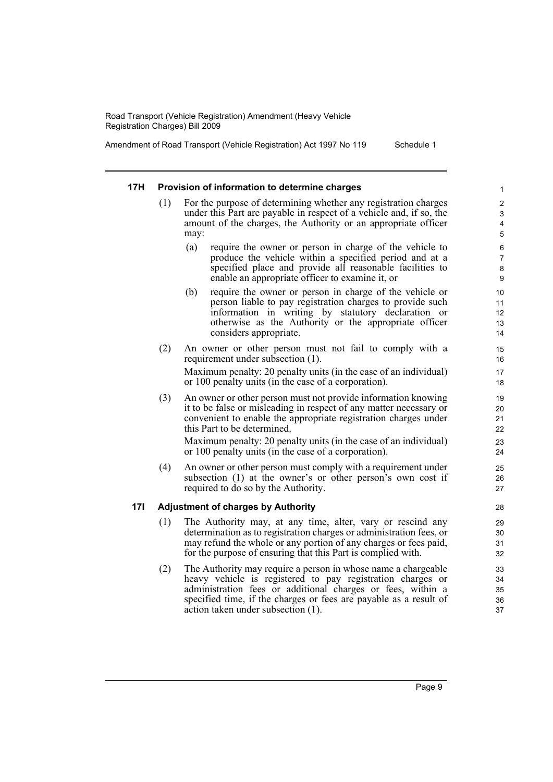Amendment of Road Transport (Vehicle Registration) Act 1997 No 119 Schedule 1

#### **17H Provision of information to determine charges**

- For the purpose of determining whether any registration charges under this Part are payable in respect of a vehicle and, if so, the amount of the charges, the Authority or an appropriate officer may:
	- (a) require the owner or person in charge of the vehicle to produce the vehicle within a specified period and at a specified place and provide all reasonable facilities to enable an appropriate officer to examine it, or
	- (b) require the owner or person in charge of the vehicle or person liable to pay registration charges to provide such information in writing by statutory declaration or otherwise as the Authority or the appropriate officer considers appropriate.
- (2) An owner or other person must not fail to comply with a requirement under subsection (1).

Maximum penalty: 20 penalty units (in the case of an individual) or 100 penalty units (in the case of a corporation).

(3) An owner or other person must not provide information knowing it to be false or misleading in respect of any matter necessary or convenient to enable the appropriate registration charges under this Part to be determined.

Maximum penalty: 20 penalty units (in the case of an individual) or 100 penalty units (in the case of a corporation).

(4) An owner or other person must comply with a requirement under subsection (1) at the owner's or other person's own cost if required to do so by the Authority.

#### **17I Adjustment of charges by Authority**

- (1) The Authority may, at any time, alter, vary or rescind any determination as to registration charges or administration fees, or may refund the whole or any portion of any charges or fees paid, for the purpose of ensuring that this Part is complied with.
- (2) The Authority may require a person in whose name a chargeable heavy vehicle is registered to pay registration charges or administration fees or additional charges or fees, within a specified time, if the charges or fees are payable as a result of action taken under subsection (1).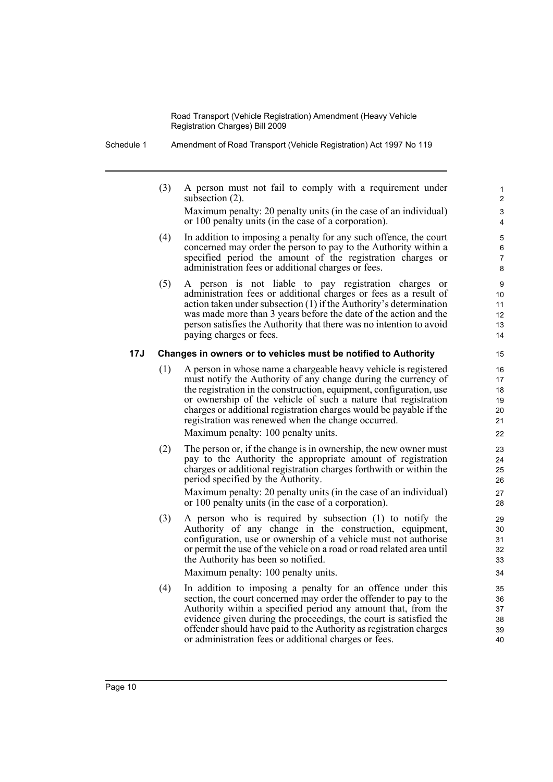Schedule 1 Amendment of Road Transport (Vehicle Registration) Act 1997 No 119

(3) A person must not fail to comply with a requirement under subsection  $(2)$ .

Maximum penalty: 20 penalty units (in the case of an individual) or 100 penalty units (in the case of a corporation).

- (4) In addition to imposing a penalty for any such offence, the court concerned may order the person to pay to the Authority within a specified period the amount of the registration charges or administration fees or additional charges or fees.
- (5) A person is not liable to pay registration charges or administration fees or additional charges or fees as a result of action taken under subsection (1) if the Authority's determination was made more than 3 years before the date of the action and the person satisfies the Authority that there was no intention to avoid paying charges or fees.

#### **17J Changes in owners or to vehicles must be notified to Authority**

(1) A person in whose name a chargeable heavy vehicle is registered must notify the Authority of any change during the currency of the registration in the construction, equipment, configuration, use or ownership of the vehicle of such a nature that registration charges or additional registration charges would be payable if the registration was renewed when the change occurred.

Maximum penalty: 100 penalty units.

(2) The person or, if the change is in ownership, the new owner must pay to the Authority the appropriate amount of registration charges or additional registration charges forthwith or within the period specified by the Authority.

Maximum penalty: 20 penalty units (in the case of an individual) or 100 penalty units (in the case of a corporation).

(3) A person who is required by subsection (1) to notify the Authority of any change in the construction, equipment, configuration, use or ownership of a vehicle must not authorise or permit the use of the vehicle on a road or road related area until the Authority has been so notified.

Maximum penalty: 100 penalty units.

(4) In addition to imposing a penalty for an offence under this section, the court concerned may order the offender to pay to the Authority within a specified period any amount that, from the evidence given during the proceedings, the court is satisfied the offender should have paid to the Authority as registration charges or administration fees or additional charges or fees.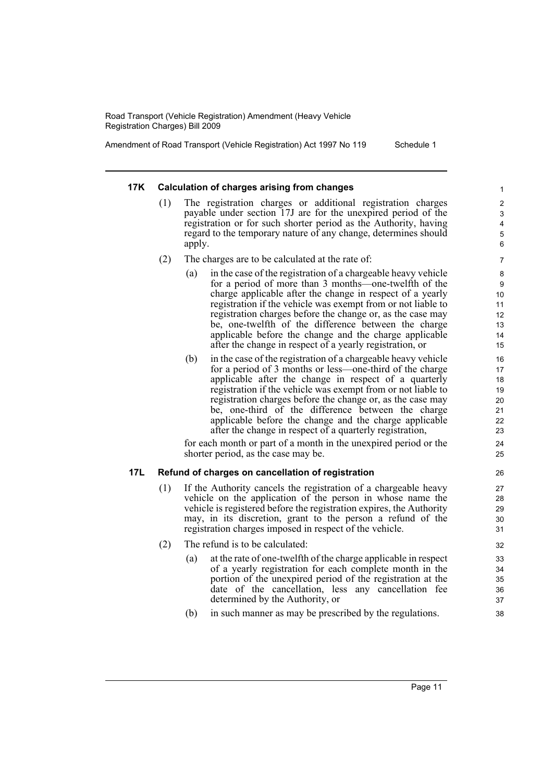Amendment of Road Transport (Vehicle Registration) Act 1997 No 119 Schedule 1

#### **17K Calculation of charges arising from changes**

- (1) The registration charges or additional registration charges payable under section 17J are for the unexpired period of the registration or for such shorter period as the Authority, having regard to the temporary nature of any change, determines should apply.
- (2) The charges are to be calculated at the rate of:
	- (a) in the case of the registration of a chargeable heavy vehicle for a period of more than 3 months—one-twelfth of the charge applicable after the change in respect of a yearly registration if the vehicle was exempt from or not liable to registration charges before the change or, as the case may be, one-twelfth of the difference between the charge applicable before the change and the charge applicable after the change in respect of a yearly registration, or
	- (b) in the case of the registration of a chargeable heavy vehicle for a period of 3 months or less—one-third of the charge applicable after the change in respect of a quarterly registration if the vehicle was exempt from or not liable to registration charges before the change or, as the case may be, one-third of the difference between the charge applicable before the change and the charge applicable after the change in respect of a quarterly registration,

for each month or part of a month in the unexpired period or the shorter period, as the case may be.

#### **17L Refund of charges on cancellation of registration**

- (1) If the Authority cancels the registration of a chargeable heavy vehicle on the application of the person in whose name the vehicle is registered before the registration expires, the Authority may, in its discretion, grant to the person a refund of the registration charges imposed in respect of the vehicle.
- (2) The refund is to be calculated:
	- (a) at the rate of one-twelfth of the charge applicable in respect of a yearly registration for each complete month in the portion of the unexpired period of the registration at the date of the cancellation, less any cancellation fee determined by the Authority, or
	- (b) in such manner as may be prescribed by the regulations.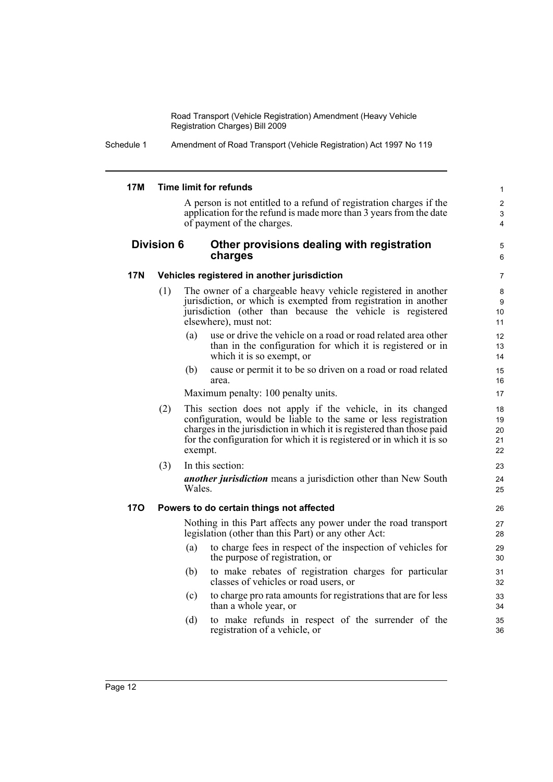Schedule 1 Amendment of Road Transport (Vehicle Registration) Act 1997 No 119

#### **17M Time limit for refunds** A person is not entitled to a refund of registration charges if the application for the refund is made more than 3 years from the date of payment of the charges. **Division 6 Other provisions dealing with registration charges 17N Vehicles registered in another jurisdiction** (1) The owner of a chargeable heavy vehicle registered in another jurisdiction, or which is exempted from registration in another jurisdiction (other than because the vehicle is registered elsewhere), must not: (a) use or drive the vehicle on a road or road related area other than in the configuration for which it is registered or in which it is so exempt, or (b) cause or permit it to be so driven on a road or road related area. Maximum penalty: 100 penalty units. (2) This section does not apply if the vehicle, in its changed configuration, would be liable to the same or less registration charges in the jurisdiction in which it is registered than those paid for the configuration for which it is registered or in which it is so exempt. (3) In this section: *another jurisdiction* means a jurisdiction other than New South Wales. **17O Powers to do certain things not affected** Nothing in this Part affects any power under the road transport legislation (other than this Part) or any other Act: (a) to charge fees in respect of the inspection of vehicles for the purpose of registration, or (b) to make rebates of registration charges for particular classes of vehicles or road users, or (c) to charge pro rata amounts for registrations that are for less than a whole year, or (d) to make refunds in respect of the surrender of the registration of a vehicle, or 1 2 3 4 5 6 7 8 9 10 11 12 13 14 15 16 17 18 19 20 21 22 23 24 25 26 27 28 29 30 31 32 33 34 35 36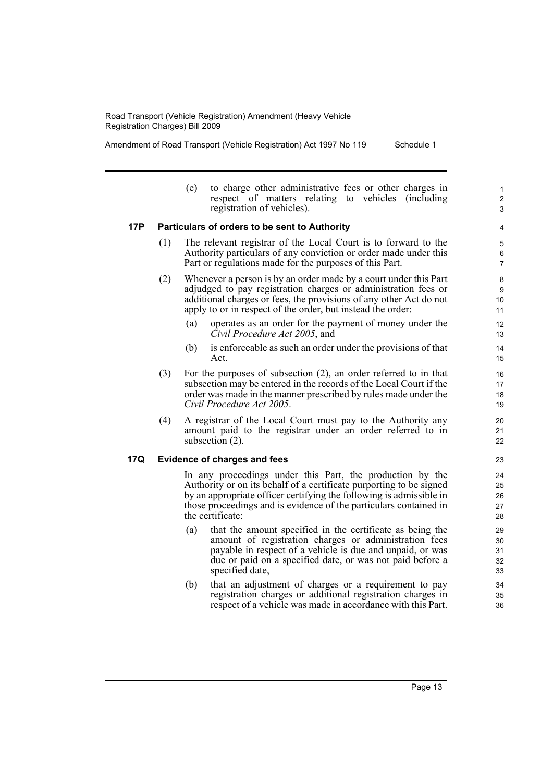Amendment of Road Transport (Vehicle Registration) Act 1997 No 119 Schedule 1

- (e) to charge other administrative fees or other charges in respect of matters relating to vehicles (including registration of vehicles). **17P Particulars of orders to be sent to Authority** (1) The relevant registrar of the Local Court is to forward to the Authority particulars of any conviction or order made under this Part or regulations made for the purposes of this Part. (2) Whenever a person is by an order made by a court under this Part adjudged to pay registration charges or administration fees or additional charges or fees, the provisions of any other Act do not apply to or in respect of the order, but instead the order: (a) operates as an order for the payment of money under the *Civil Procedure Act 2005*, and (b) is enforceable as such an order under the provisions of that Act. (3) For the purposes of subsection (2), an order referred to in that subsection may be entered in the records of the Local Court if the order was made in the manner prescribed by rules made under the *Civil Procedure Act 2005*.
	- (4) A registrar of the Local Court must pay to the Authority any amount paid to the registrar under an order referred to in subsection (2).

#### **17Q Evidence of charges and fees**

In any proceedings under this Part, the production by the Authority or on its behalf of a certificate purporting to be signed by an appropriate officer certifying the following is admissible in those proceedings and is evidence of the particulars contained in the certificate:

- (a) that the amount specified in the certificate as being the amount of registration charges or administration fees payable in respect of a vehicle is due and unpaid, or was due or paid on a specified date, or was not paid before a specified date,
- (b) that an adjustment of charges or a requirement to pay registration charges or additional registration charges in respect of a vehicle was made in accordance with this Part.
	- Page 13

23

1 2 3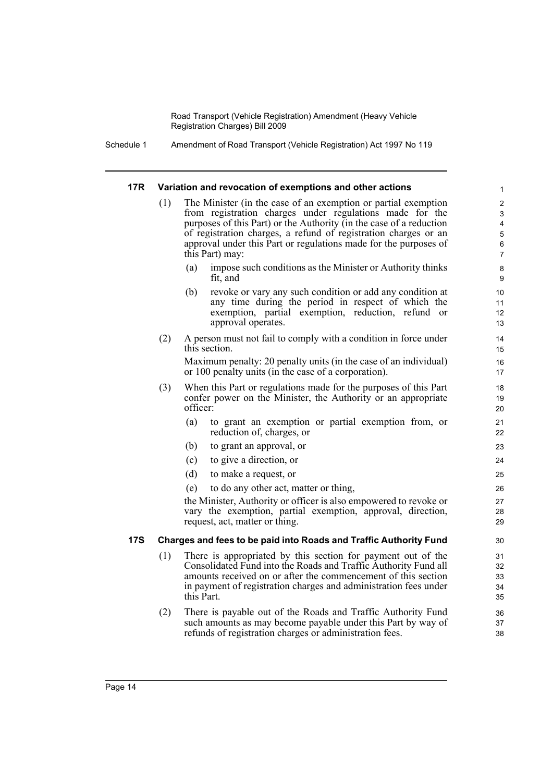Schedule 1 Amendment of Road Transport (Vehicle Registration) Act 1997 No 119

#### **17R Variation and revocation of exemptions and other actions**

(1) The Minister (in the case of an exemption or partial exemption from registration charges under regulations made for the purposes of this Part) or the Authority (in the case of a reduction of registration charges, a refund of registration charges or an approval under this Part or regulations made for the purposes of this Part) may:

- (a) impose such conditions as the Minister or Authority thinks fit, and
- (b) revoke or vary any such condition or add any condition at any time during the period in respect of which the exemption, partial exemption, reduction, refund or approval operates.
- (2) A person must not fail to comply with a condition in force under this section.

Maximum penalty: 20 penalty units (in the case of an individual) or 100 penalty units (in the case of a corporation).

- (3) When this Part or regulations made for the purposes of this Part confer power on the Minister, the Authority or an appropriate officer:
	- (a) to grant an exemption or partial exemption from, or reduction of, charges, or
	- (b) to grant an approval, or
	- (c) to give a direction, or
	- (d) to make a request, or
	- (e) to do any other act, matter or thing,

the Minister, Authority or officer is also empowered to revoke or vary the exemption, partial exemption, approval, direction, request, act, matter or thing.

#### **17S Charges and fees to be paid into Roads and Traffic Authority Fund**

- (1) There is appropriated by this section for payment out of the Consolidated Fund into the Roads and Traffic Authority Fund all amounts received on or after the commencement of this section in payment of registration charges and administration fees under this Part.
- (2) There is payable out of the Roads and Traffic Authority Fund such amounts as may become payable under this Part by way of refunds of registration charges or administration fees.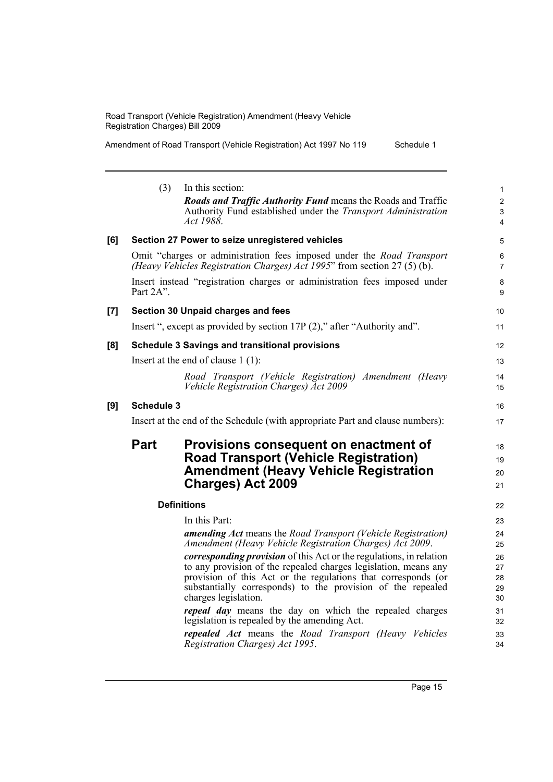Amendment of Road Transport (Vehicle Registration) Act 1997 No 119 Schedule 1

|                    | (3)<br>In this section:<br><b>Roads and Traffic Authority Fund means the Roads and Traffic</b><br>Authority Fund established under the <i>Transport Administration</i><br>Act 1988.                                                                                                                   | 1<br>$\overline{c}$<br>3<br>$\overline{4}$ |
|--------------------|-------------------------------------------------------------------------------------------------------------------------------------------------------------------------------------------------------------------------------------------------------------------------------------------------------|--------------------------------------------|
| [6]                | Section 27 Power to seize unregistered vehicles                                                                                                                                                                                                                                                       | 5                                          |
|                    | Omit "charges or administration fees imposed under the <i>Road Transport</i><br>(Heavy Vehicles Registration Charges) Act 1995" from section 27 (5) (b).                                                                                                                                              | 6<br>$\overline{7}$                        |
|                    | Insert instead "registration charges or administration fees imposed under<br>Part 2A".                                                                                                                                                                                                                | 8<br>9                                     |
| $\left[ 7 \right]$ | Section 30 Unpaid charges and fees                                                                                                                                                                                                                                                                    | 10                                         |
|                    | Insert ", except as provided by section 17P (2)," after "Authority and".                                                                                                                                                                                                                              | 11                                         |
| [8]                | <b>Schedule 3 Savings and transitional provisions</b>                                                                                                                                                                                                                                                 | 12                                         |
|                    | Insert at the end of clause $1(1)$ :                                                                                                                                                                                                                                                                  | 13                                         |
|                    | Road Transport (Vehicle Registration) Amendment (Heavy<br>Vehicle Registration Charges) Act 2009                                                                                                                                                                                                      | 14<br>15                                   |
| [9]                | <b>Schedule 3</b>                                                                                                                                                                                                                                                                                     | 16                                         |
|                    | Insert at the end of the Schedule (with appropriate Part and clause numbers):                                                                                                                                                                                                                         | 17                                         |
|                    | Part<br>Provisions consequent on enactment of<br><b>Road Transport (Vehicle Registration)</b><br><b>Amendment (Heavy Vehicle Registration</b><br><b>Charges) Act 2009</b>                                                                                                                             | 18<br>19<br>20<br>21                       |
|                    | <b>Definitions</b>                                                                                                                                                                                                                                                                                    | 22                                         |
|                    | In this Part:                                                                                                                                                                                                                                                                                         | 23                                         |
|                    | amending Act means the Road Transport (Vehicle Registration)<br>Amendment (Heavy Vehicle Registration Charges) Act 2009.                                                                                                                                                                              | 24<br>25                                   |
|                    | <i>corresponding provision</i> of this Act or the regulations, in relation<br>to any provision of the repealed charges legislation, means any<br>provision of this Act or the regulations that corresponds (or<br>substantially corresponds) to the provision of the repealed<br>charges legislation. | 26<br>27<br>28<br>29<br>30                 |
|                    | <i>repeal day</i> means the day on which the repealed charges<br>legislation is repealed by the amending Act.                                                                                                                                                                                         | 31<br>32                                   |
|                    | <b>repealed Act</b> means the Road Transport (Heavy Vehicles<br>Registration Charges) Act 1995.                                                                                                                                                                                                       | 33<br>34                                   |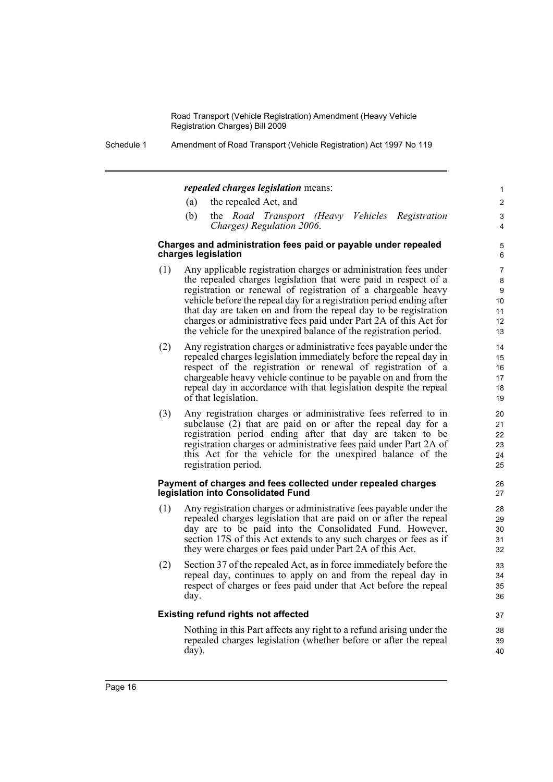Schedule 1 Amendment of Road Transport (Vehicle Registration) Act 1997 No 119

#### *repealed charges legislation* means:

- (a) the repealed Act, and
- (b) the *Road Transport (Heavy Vehicles Registration Charges) Regulation 2006*.

#### **Charges and administration fees paid or payable under repealed charges legislation**

- (1) Any applicable registration charges or administration fees under the repealed charges legislation that were paid in respect of a registration or renewal of registration of a chargeable heavy vehicle before the repeal day for a registration period ending after that day are taken on and from the repeal day to be registration charges or administrative fees paid under Part 2A of this Act for the vehicle for the unexpired balance of the registration period.
- (2) Any registration charges or administrative fees payable under the repealed charges legislation immediately before the repeal day in respect of the registration or renewal of registration of a chargeable heavy vehicle continue to be payable on and from the repeal day in accordance with that legislation despite the repeal of that legislation.
- (3) Any registration charges or administrative fees referred to in subclause (2) that are paid on or after the repeal day for a registration period ending after that day are taken to be registration charges or administrative fees paid under Part 2A of this Act for the vehicle for the unexpired balance of the registration period.

#### **Payment of charges and fees collected under repealed charges legislation into Consolidated Fund**

- (1) Any registration charges or administrative fees payable under the repealed charges legislation that are paid on or after the repeal day are to be paid into the Consolidated Fund. However, section 17S of this Act extends to any such charges or fees as if they were charges or fees paid under Part 2A of this Act.
- (2) Section 37 of the repealed Act, as in force immediately before the repeal day, continues to apply on and from the repeal day in respect of charges or fees paid under that Act before the repeal day.

#### **Existing refund rights not affected**

Nothing in this Part affects any right to a refund arising under the repealed charges legislation (whether before or after the repeal day).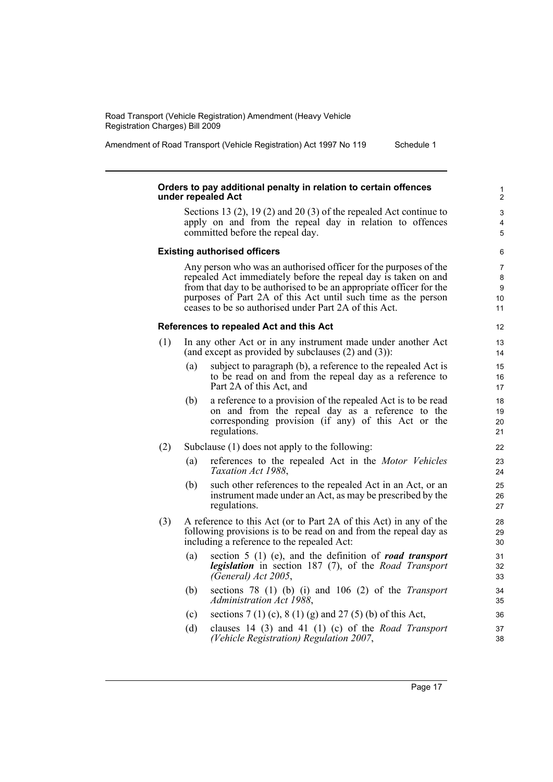Amendment of Road Transport (Vehicle Registration) Act 1997 No 119 Schedule 1

#### **Orders to pay additional penalty in relation to certain offences under repealed Act**

Sections 13 (2), 19 (2) and 20 (3) of the repealed Act continue to apply on and from the repeal day in relation to offences committed before the repeal day.

#### **Existing authorised officers**

Any person who was an authorised officer for the purposes of the repealed Act immediately before the repeal day is taken on and from that day to be authorised to be an appropriate officer for the purposes of Part 2A of this Act until such time as the person ceases to be so authorised under Part 2A of this Act.

#### **References to repealed Act and this Act**

- (1) In any other Act or in any instrument made under another Act (and except as provided by subclauses (2) and (3)):
	- (a) subject to paragraph (b), a reference to the repealed Act is to be read on and from the repeal day as a reference to Part 2A of this Act, and
	- (b) a reference to a provision of the repealed Act is to be read on and from the repeal day as a reference to the corresponding provision (if any) of this Act or the regulations.
- (2) Subclause (1) does not apply to the following:
	- (a) references to the repealed Act in the *Motor Vehicles Taxation Act 1988*,
	- (b) such other references to the repealed Act in an Act, or an instrument made under an Act, as may be prescribed by the regulations.
- (3) A reference to this Act (or to Part 2A of this Act) in any of the following provisions is to be read on and from the repeal day as including a reference to the repealed Act:
	- (a) section 5 (1) (e), and the definition of *road transport legislation* in section 187 (7), of the *Road Transport (General) Act 2005*,
	- (b) sections 78 (1) (b) (i) and 106 (2) of the *Transport Administration Act 1988*,
	- (c) sections  $7(1)(c)$ ,  $8(1)(g)$  and  $27(5)(b)$  of this Act,
	- (d) clauses 14 (3) and 41 (1) (c) of the *Road Transport (Vehicle Registration) Regulation 2007*,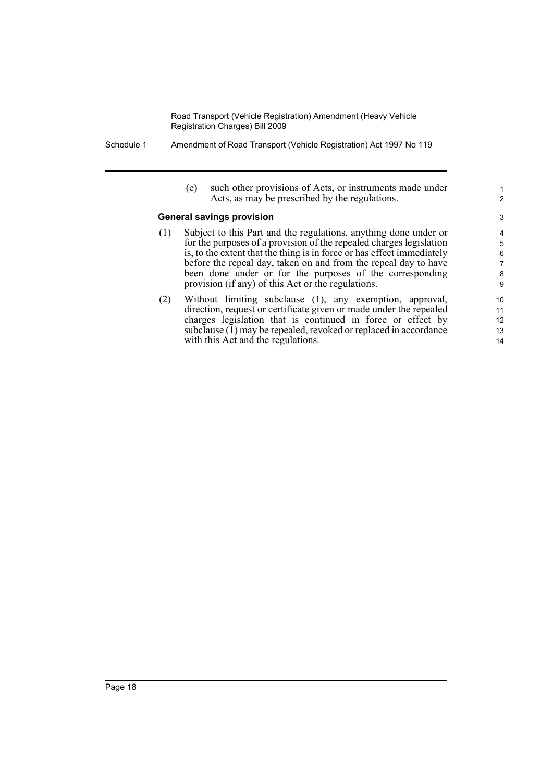- Schedule 1 Amendment of Road Transport (Vehicle Registration) Act 1997 No 119
	- (e) such other provisions of Acts, or instruments made under Acts, as may be prescribed by the regulations.

1 2

#### **General savings provision**

- (1) Subject to this Part and the regulations, anything done under or for the purposes of a provision of the repealed charges legislation is, to the extent that the thing is in force or has effect immediately before the repeal day, taken on and from the repeal day to have been done under or for the purposes of the corresponding provision (if any) of this Act or the regulations.
- (2) Without limiting subclause (1), any exemption, approval, direction, request or certificate given or made under the repealed charges legislation that is continued in force or effect by subclause  $(1)$  may be repealed, revoked or replaced in accordance with this Act and the regulations.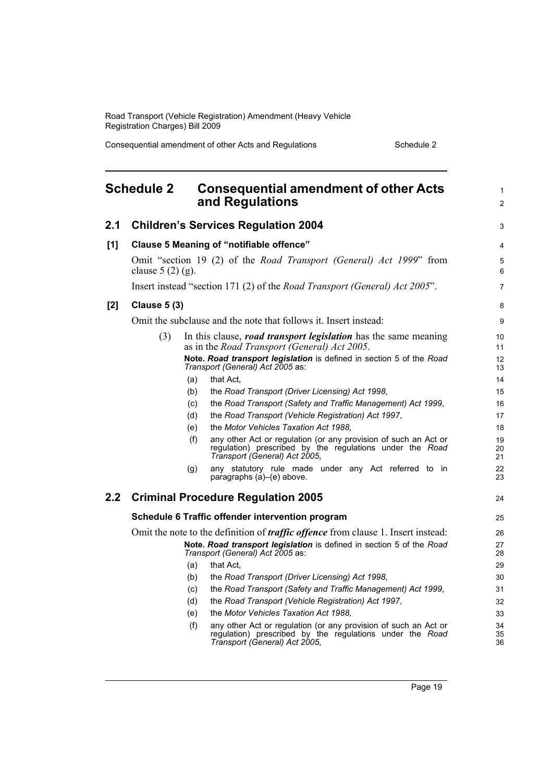Consequential amendment of other Acts and Regulations Schedule 2

<span id="page-26-0"></span>

|                  | <b>Schedule 2</b>                                                                                        |     | <b>Consequential amendment of other Acts</b><br>and Regulations                                                                                              | $\mathbf{1}$<br>$\overline{2}$ |
|------------------|----------------------------------------------------------------------------------------------------------|-----|--------------------------------------------------------------------------------------------------------------------------------------------------------------|--------------------------------|
| 2.1              |                                                                                                          |     | <b>Children's Services Regulation 2004</b>                                                                                                                   | 3                              |
| [1]              |                                                                                                          |     | Clause 5 Meaning of "notifiable offence"                                                                                                                     | 4                              |
|                  | clause $5(2)(g)$ .                                                                                       |     | Omit "section 19 (2) of the Road Transport (General) Act 1999" from                                                                                          | 5<br>6                         |
|                  |                                                                                                          |     | Insert instead "section 171 (2) of the <i>Road Transport (General) Act 2005</i> ".                                                                           | $\overline{7}$                 |
| $[2]$            | <b>Clause 5 (3)</b>                                                                                      |     |                                                                                                                                                              | 8                              |
|                  |                                                                                                          |     | Omit the subclause and the note that follows it. Insert instead:                                                                                             | 9                              |
|                  | (3)                                                                                                      |     | In this clause, <i>road transport legislation</i> has the same meaning<br>as in the <i>Road Transport (General) Act 2005</i> .                               | 10<br>11                       |
|                  |                                                                                                          |     | Note. Road transport legislation is defined in section 5 of the Road<br>Transport (General) Act 2005 as:                                                     | 12<br>13                       |
|                  |                                                                                                          | (a) | that Act,                                                                                                                                                    | 14                             |
|                  |                                                                                                          | (b) | the Road Transport (Driver Licensing) Act 1998,                                                                                                              | 15                             |
|                  |                                                                                                          | (c) | the Road Transport (Safety and Traffic Management) Act 1999,                                                                                                 | 16                             |
|                  |                                                                                                          | (d) | the Road Transport (Vehicle Registration) Act 1997,                                                                                                          | 17                             |
|                  |                                                                                                          | (e) | the Motor Vehicles Taxation Act 1988.                                                                                                                        | 18                             |
|                  |                                                                                                          | (f) | any other Act or regulation (or any provision of such an Act or<br>regulation) prescribed by the regulations under the Road<br>Transport (General) Act 2005, | 19<br>20<br>21                 |
|                  |                                                                                                          | (g) | any statutory rule made under any Act referred to in<br>paragraphs (a)-(e) above.                                                                            | 22<br>23                       |
| $2.2\phantom{0}$ |                                                                                                          |     | <b>Criminal Procedure Regulation 2005</b>                                                                                                                    | 24                             |
|                  | Schedule 6 Traffic offender intervention program                                                         |     |                                                                                                                                                              | 25                             |
|                  | Omit the note to the definition of <i>traffic offence</i> from clause 1. Insert instead:                 |     |                                                                                                                                                              |                                |
|                  | Note. Road transport legislation is defined in section 5 of the Road<br>Transport (General) Act 2005 as: |     |                                                                                                                                                              |                                |
|                  |                                                                                                          | (a) | that Act,                                                                                                                                                    | 29                             |
|                  |                                                                                                          | (b) | the Road Transport (Driver Licensing) Act 1998,                                                                                                              | 30                             |
|                  |                                                                                                          | (c) | the Road Transport (Safety and Traffic Management) Act 1999,                                                                                                 | 31                             |
|                  |                                                                                                          | (d) | the Road Transport (Vehicle Registration) Act 1997,                                                                                                          | 32                             |
|                  |                                                                                                          | (e) | the Motor Vehicles Taxation Act 1988.                                                                                                                        | 33                             |
|                  |                                                                                                          | (f) | any other Act or regulation (or any provision of such an Act or<br>regulation) prescribed by the regulations under the Road<br>Transport (General) Act 2005, | 34<br>35<br>36                 |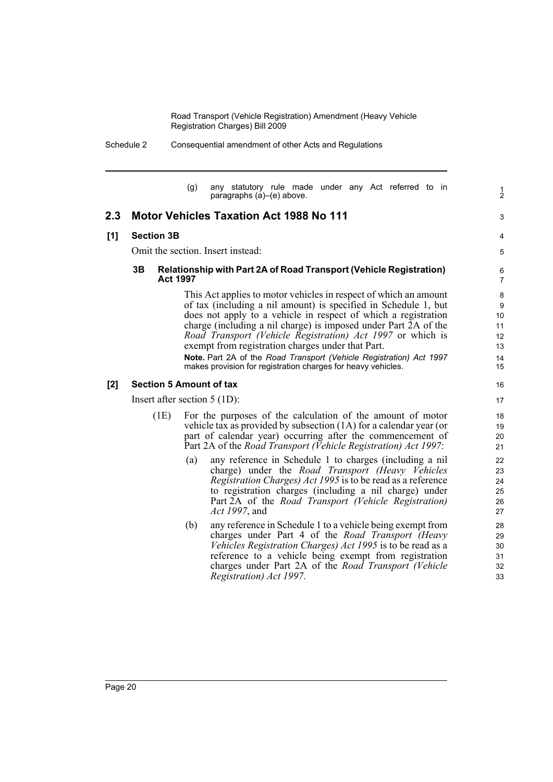Schedule 2 Consequential amendment of other Acts and Regulations

(g) any statutory rule made under any Act referred to in paragraphs (a)–(e) above.

1 2

3

4 5

## **2.3 Motor Vehicles Taxation Act 1988 No 111**

#### **[1] Section 3B**

Omit the section. Insert instead:

#### **3B Relationship with Part 2A of Road Transport (Vehicle Registration) Act 1997**

This Act applies to motor vehicles in respect of which an amount of tax (including a nil amount) is specified in Schedule 1, but does not apply to a vehicle in respect of which a registration charge (including a nil charge) is imposed under Part 2A of the *Road Transport (Vehicle Registration) Act 1997* or which is exempt from registration charges under that Part.

**Note.** Part 2A of the *Road Transport (Vehicle Registration) Act 1997* makes provision for registration charges for heavy vehicles.

#### **[2] Section 5 Amount of tax**

Insert after section 5 (1D):

- (1E) For the purposes of the calculation of the amount of motor vehicle tax as provided by subsection (1A) for a calendar year (or part of calendar year) occurring after the commencement of Part 2A of the *Road Transport (Vehicle Registration) Act 1997*:
	- (a) any reference in Schedule 1 to charges (including a nil charge) under the *Road Transport (Heavy Vehicles Registration Charges) Act 1995* is to be read as a reference to registration charges (including a nil charge) under Part 2A of the *Road Transport (Vehicle Registration) Act 1997*, and
	- (b) any reference in Schedule 1 to a vehicle being exempt from charges under Part 4 of the *Road Transport (Heavy Vehicles Registration Charges) Act 1995* is to be read as a reference to a vehicle being exempt from registration charges under Part 2A of the *Road Transport (Vehicle Registration) Act 1997*.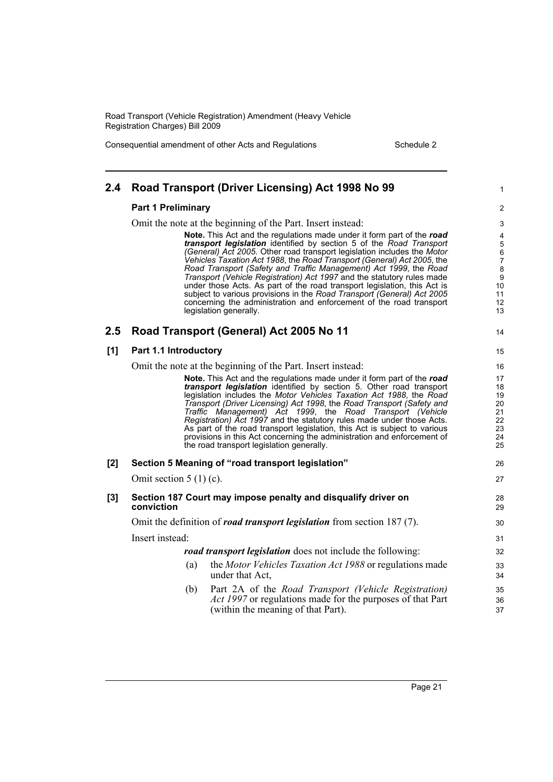Consequential amendment of other Acts and Regulations Schedule 2

| 2.4 | Road Transport (Driver Licensing) Act 1998 No 99                                                                                                                                                                                                                                                                                                                                                                                                                                                                                                                                                                                                                                                         | 1                                                                                                             |
|-----|----------------------------------------------------------------------------------------------------------------------------------------------------------------------------------------------------------------------------------------------------------------------------------------------------------------------------------------------------------------------------------------------------------------------------------------------------------------------------------------------------------------------------------------------------------------------------------------------------------------------------------------------------------------------------------------------------------|---------------------------------------------------------------------------------------------------------------|
|     | <b>Part 1 Preliminary</b>                                                                                                                                                                                                                                                                                                                                                                                                                                                                                                                                                                                                                                                                                | $\boldsymbol{2}$                                                                                              |
|     | Omit the note at the beginning of the Part. Insert instead:                                                                                                                                                                                                                                                                                                                                                                                                                                                                                                                                                                                                                                              | 3                                                                                                             |
|     | Note. This Act and the regulations made under it form part of the road<br>transport legislation identified by section 5 of the Road Transport<br>(General) Act 2005. Other road transport legislation includes the Motor<br>Vehicles Taxation Act 1988, the Road Transport (General) Act 2005, the<br>Road Transport (Safety and Traffic Management) Act 1999, the Road<br>Transport (Vehicle Registration) Act 1997 and the statutory rules made<br>under those Acts. As part of the road transport legislation, this Act is<br>subject to various provisions in the Road Transport (General) Act 2005<br>concerning the administration and enforcement of the road transport<br>legislation generally. | 4<br>$\overline{5}$<br>$\begin{array}{c} 6 \\ 7 \end{array}$<br>8<br>$\boldsymbol{9}$<br>10<br>11<br>12<br>13 |
| 2.5 | Road Transport (General) Act 2005 No 11                                                                                                                                                                                                                                                                                                                                                                                                                                                                                                                                                                                                                                                                  | 14                                                                                                            |
| [1] | Part 1.1 Introductory                                                                                                                                                                                                                                                                                                                                                                                                                                                                                                                                                                                                                                                                                    | 15                                                                                                            |
|     | Omit the note at the beginning of the Part. Insert instead:                                                                                                                                                                                                                                                                                                                                                                                                                                                                                                                                                                                                                                              | 16                                                                                                            |
|     | <b>Note.</b> This Act and the regulations made under it form part of the road<br>transport legislation identified by section 5. Other road transport<br>legislation includes the Motor Vehicles Taxation Act 1988, the Road<br>Transport (Driver Licensing) Act 1998, the Road Transport (Safety and<br>Traffic Management) Act 1999, the Road Transport (Vehicle<br>Registration) Act 1997 and the statutory rules made under those Acts.<br>As part of the road transport legislation, this Act is subject to various<br>provisions in this Act concerning the administration and enforcement of<br>the road transport legislation generally.                                                          | 17<br>18<br>19<br>20<br>21<br>22<br>23<br>24<br>25                                                            |
| [2] | Section 5 Meaning of "road transport legislation"                                                                                                                                                                                                                                                                                                                                                                                                                                                                                                                                                                                                                                                        | 26                                                                                                            |
|     | Omit section $5(1)(c)$ .                                                                                                                                                                                                                                                                                                                                                                                                                                                                                                                                                                                                                                                                                 | 27                                                                                                            |
| [3] | Section 187 Court may impose penalty and disqualify driver on<br>conviction                                                                                                                                                                                                                                                                                                                                                                                                                                                                                                                                                                                                                              | 28<br>29                                                                                                      |
|     | Omit the definition of <i>road transport legislation</i> from section 187(7).                                                                                                                                                                                                                                                                                                                                                                                                                                                                                                                                                                                                                            | 30                                                                                                            |
|     | Insert instead:                                                                                                                                                                                                                                                                                                                                                                                                                                                                                                                                                                                                                                                                                          | 31                                                                                                            |
|     | road transport legislation does not include the following:                                                                                                                                                                                                                                                                                                                                                                                                                                                                                                                                                                                                                                               | 32                                                                                                            |
|     | the Motor Vehicles Taxation Act 1988 or regulations made<br>(a)<br>under that Act,                                                                                                                                                                                                                                                                                                                                                                                                                                                                                                                                                                                                                       | 33<br>34                                                                                                      |
|     | (b)<br>Part 2A of the Road Transport (Vehicle Registration)<br>Act 1997 or regulations made for the purposes of that Part<br>(within the meaning of that Part).                                                                                                                                                                                                                                                                                                                                                                                                                                                                                                                                          | 35<br>36<br>37                                                                                                |